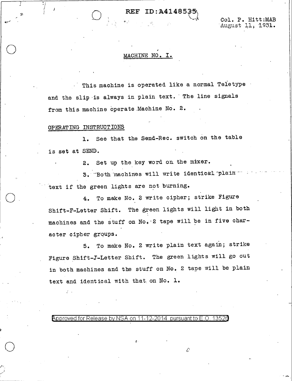## REF ID: A414853

Col. P. Hitt:MAB August 11, 1931.

### MACHINE NO. I.

This machine is operated like a normal Teletype and the slip is always in plain text. The line signals from this machine operate Machine No. 2.

## OPERATING INSTRUCTIONS

J •

*I''*  ) J I

 $\bigcirc$ 

 $\bigcirc$ 

.I

 $\bigcirc$ .

1. See that the Send-Rec. switch on the table is set at SEND.

2. Set up the key word on the mixer.

3. Both machines will write identical plain text if the green lights are not burning.

4. To make No. *2* write cipher; strike Figure Shift-F-Letter Shift. The green lights will light in both machines and the stuff on No.·2 tape will be in five character cipher groups.

5. To make No. 2 write plain text again; strike Figure Shift-3-Letter Shift. The green lights will go out in both machines and the stuff on N0. 2 tape will be plain text and identical with that on No. 1.

 $\rho$  approved for Release by NSA on 11-12-2014 pursuant to E.O. 1352a

 $\mathcal{O}$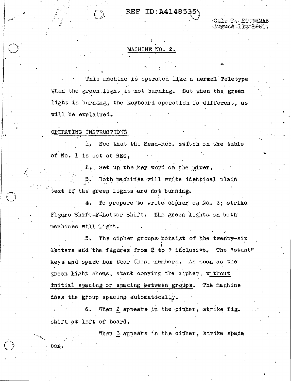# REF ID: A414853

August I Frik951.

#### MACHINE NO. 2.

This machine is operated like a normal Teletype when the green light is not burning. But when the green light is burning, the keyboard operation is different, as will be explained.

OPERATING INSTRUCTIONS

bar.

See that the Send-Rec. switch on the table  $1.7$ of No. 1 is set at REC.

2. Set up the key word on the mixer.  $3.$ Both machines will write identical plain text if the green lights are not burning.

To prepare to write cipher on No. 2; strike  $4.1$ Figure Shift-F-Letter Shift. The green lights on both machines will light.

The cipher groups consist of the twenty-six  $5.$ letters and the figures from 2 to 7 inclusive. The "stunt" keys and space bar bear these numbers. As soon as the green light shows, start copying the cipher, without initial spacing or spacing between groups. The machine does the group spacing automatically.

6. Mhen 2 appears in the cipher, strike fig. shift at left of board.

When 3 appears in the cipher, strike space